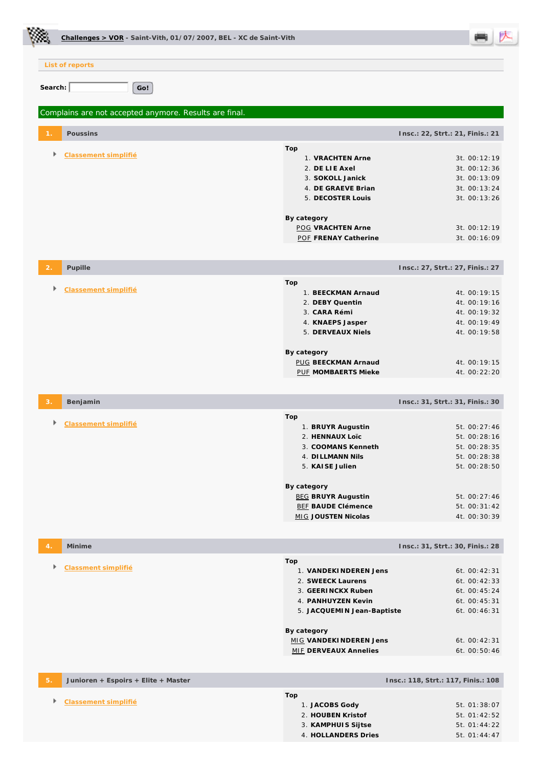| Challenges > VOR - Saint-Vith, 01/07/2007, BEL - XC de Saint-Vith |                                                                                                                             |                                                                              |
|-------------------------------------------------------------------|-----------------------------------------------------------------------------------------------------------------------------|------------------------------------------------------------------------------|
| List of reports                                                   |                                                                                                                             |                                                                              |
| Search:<br>Go!                                                    |                                                                                                                             |                                                                              |
| Complains are not accepted anymore. Results are final.            |                                                                                                                             |                                                                              |
| Poussins                                                          |                                                                                                                             | Insc.: 22, Strt.: 21, Finis.: 21                                             |
| Classement simplifié                                              | Top<br>1. VRACHTEN Arne<br>2. DE LIE Axel<br>3. SOKOLL Janick<br>4. DE GRAEVE Brian<br>5. DECOSTER Louis                    | 3t. 00:12:19<br>3t. 00:12:36<br>3t. 00:13:09<br>3t. 00:13:24<br>3t. 00:13:26 |
|                                                                   | By category<br><b>POG VRACHTEN Arne</b><br>POF FRENAY Catherine                                                             | 3t. 00:12:19<br>3t. 00:16:09                                                 |
| Pupille                                                           |                                                                                                                             | Insc.: 27, Strt.: 27, Finis.: 27                                             |
| Classement simplifié                                              | Top<br>1. BEECKMAN Arnaud<br>2. DEBY Quentin<br>3. CARA Rémi<br>4. KNAEPS Jasper<br>5. DERVEAUX Niels                       | 4t. 00:19:15<br>4t. 00:19:16<br>4t. 00:19:32<br>4t. 00:19:49<br>4t. 00:19:58 |
|                                                                   | By category<br><b>PUG BEECKMAN Arnaud</b><br>PUF MOMBAERTS Mieke                                                            | 4t. 00:19:15<br>4t. 00:22:20                                                 |
| Benjamin                                                          |                                                                                                                             | Insc.: 31, Strt.: 31, Finis.: 30                                             |
| Classement simplifié                                              | Top<br>1. BRUYR Augustin<br>2. HENNAUX Loïc<br>3. COOMANS Kenneth<br>4. DI LLMANN Nils<br>5. KAISE Julien                   | 5t. 00:27:46<br>5t. 00:28:16<br>5t. 00:28:35<br>5t. 00:28:38<br>5t. 00:28:50 |
|                                                                   | By category<br><b>BEG BRUYR Augustin</b><br><b>BEF BAUDE Clémence</b><br>MIG JOUSTEN Nicolas                                | 5t. 00:27:46<br>5t. 00:31:42<br>4t. 00:30:39                                 |
| Minime                                                            |                                                                                                                             | Insc.: 31, Strt.: 30, Finis.: 28                                             |
| r<br>Classment simplifié                                          | Top<br>1. VANDEKINDEREN Jens<br>2. SWEECK Laurens<br>3. GEERINCKX Ruben<br>4. PANHUYZEN Kevin<br>5. JACQUEMIN Jean-Baptiste | 6t. 00:42:31<br>6t. 00:42:33<br>6t. 00:45:24<br>6t. 00:45:31<br>6t. 00:46:31 |
|                                                                   | By category<br>MIG VANDEKINDEREN Jens<br><b>MIF DERVEAUX Annelies</b>                                                       | 6t. 00:42:31<br>6t. 00:50:46                                                 |
| Junioren + Espoirs + Elite + Master                               |                                                                                                                             | Insc.: 118, Strt.: 117, Finis.: 108                                          |
| Classement simplifié<br>Þ.                                        | Top<br>1. JACOBS Gody<br>2. HOUBEN Kristof<br>3. KAMPHUIS Sijtse<br>4. HOLLANDERS Dries                                     | 5t. 01:38:07<br>5t. 01:42:52<br>5t. 01:44:22<br>5t. 01:44:47                 |